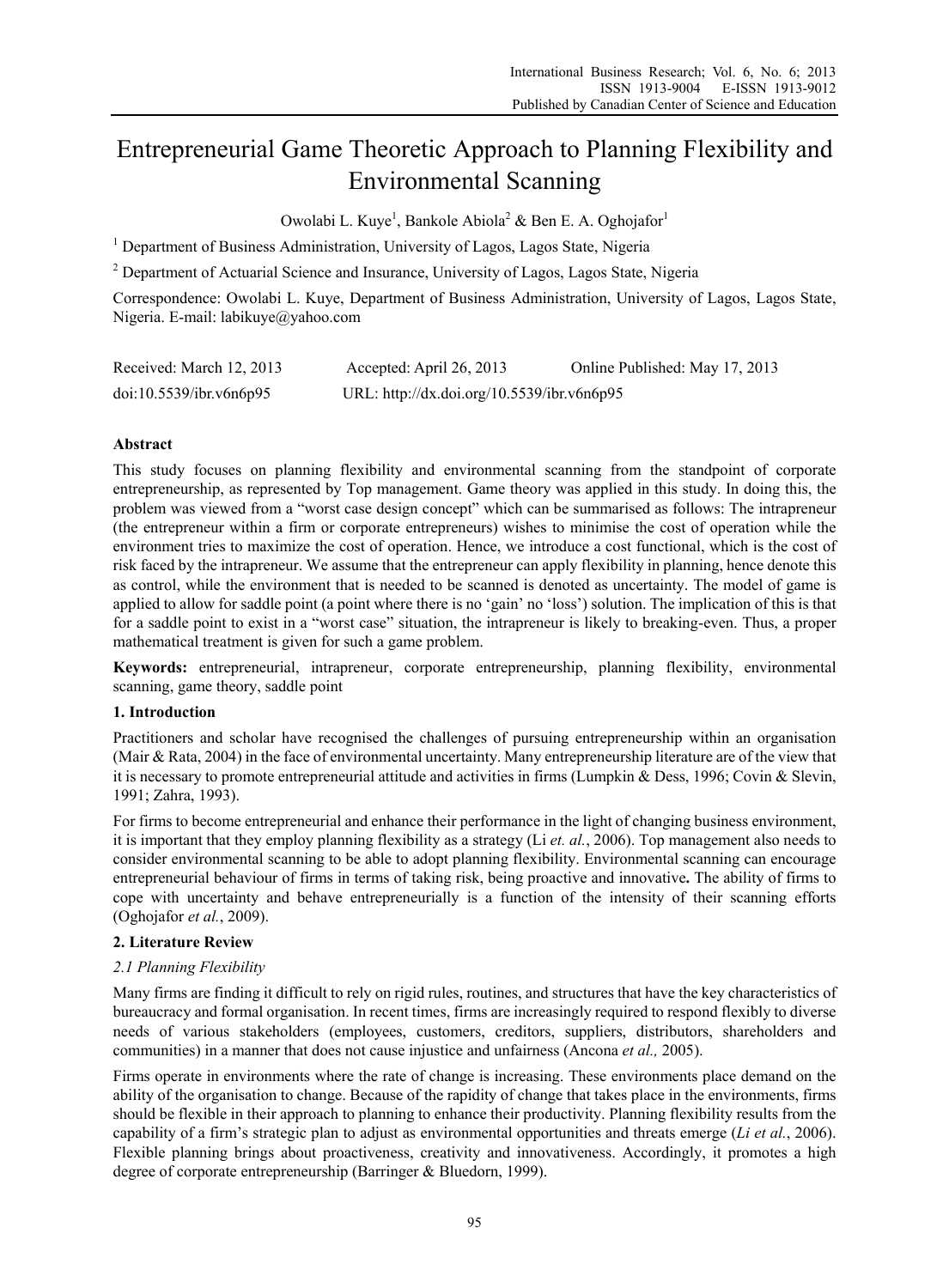# Entrepreneurial Game Theoretic Approach to Planning Flexibility and Environmental Scanning

Owolabi L. Kuye<sup>1</sup>, Bankole Abiola<sup>2</sup> & Ben E. A. Oghojafor<sup>1</sup>

<sup>1</sup> Department of Business Administration, University of Lagos, Lagos State, Nigeria

<sup>2</sup> Department of Actuarial Science and Insurance, University of Lagos, Lagos State, Nigeria

Correspondence: Owolabi L. Kuye, Department of Business Administration, University of Lagos, Lagos State, Nigeria. E-mail: labikuye@yahoo.com

| Received: March 12, 2013 | Accepted: April 26, 2013                   | Online Published: May 17, 2013 |
|--------------------------|--------------------------------------------|--------------------------------|
| doi:10.5539/ibr.v6n6p95  | URL: http://dx.doi.org/10.5539/ibr.v6n6p95 |                                |

# **Abstract**

This study focuses on planning flexibility and environmental scanning from the standpoint of corporate entrepreneurship, as represented by Top management. Game theory was applied in this study. In doing this, the problem was viewed from a "worst case design concept" which can be summarised as follows: The intrapreneur (the entrepreneur within a firm or corporate entrepreneurs) wishes to minimise the cost of operation while the environment tries to maximize the cost of operation. Hence, we introduce a cost functional, which is the cost of risk faced by the intrapreneur. We assume that the entrepreneur can apply flexibility in planning, hence denote this as control, while the environment that is needed to be scanned is denoted as uncertainty. The model of game is applied to allow for saddle point (a point where there is no 'gain' no 'loss') solution. The implication of this is that for a saddle point to exist in a "worst case" situation, the intrapreneur is likely to breaking-even. Thus, a proper mathematical treatment is given for such a game problem.

**Keywords:** entrepreneurial, intrapreneur, corporate entrepreneurship, planning flexibility, environmental scanning, game theory, saddle point

#### **1. Introduction**

Practitioners and scholar have recognised the challenges of pursuing entrepreneurship within an organisation (Mair & Rata, 2004) in the face of environmental uncertainty. Many entrepreneurship literature are of the view that it is necessary to promote entrepreneurial attitude and activities in firms (Lumpkin & Dess, 1996; Covin & Slevin, 1991; Zahra, 1993).

For firms to become entrepreneurial and enhance their performance in the light of changing business environment, it is important that they employ planning flexibility as a strategy (Li *et. al.*, 2006). Top management also needs to consider environmental scanning to be able to adopt planning flexibility. Environmental scanning can encourage entrepreneurial behaviour of firms in terms of taking risk, being proactive and innovative**.** The ability of firms to cope with uncertainty and behave entrepreneurially is a function of the intensity of their scanning efforts (Oghojafor *et al.*, 2009).

# **2. Literature Review**

# *2.1 Planning Flexibility*

Many firms are finding it difficult to rely on rigid rules, routines, and structures that have the key characteristics of bureaucracy and formal organisation. In recent times, firms are increasingly required to respond flexibly to diverse needs of various stakeholders (employees, customers, creditors, suppliers, distributors, shareholders and communities) in a manner that does not cause injustice and unfairness (Ancona *et al.,* 2005).

Firms operate in environments where the rate of change is increasing. These environments place demand on the ability of the organisation to change. Because of the rapidity of change that takes place in the environments, firms should be flexible in their approach to planning to enhance their productivity. Planning flexibility results from the capability of a firm's strategic plan to adjust as environmental opportunities and threats emerge (*Li et al.*, 2006). Flexible planning brings about proactiveness, creativity and innovativeness. Accordingly, it promotes a high degree of corporate entrepreneurship (Barringer & Bluedorn, 1999).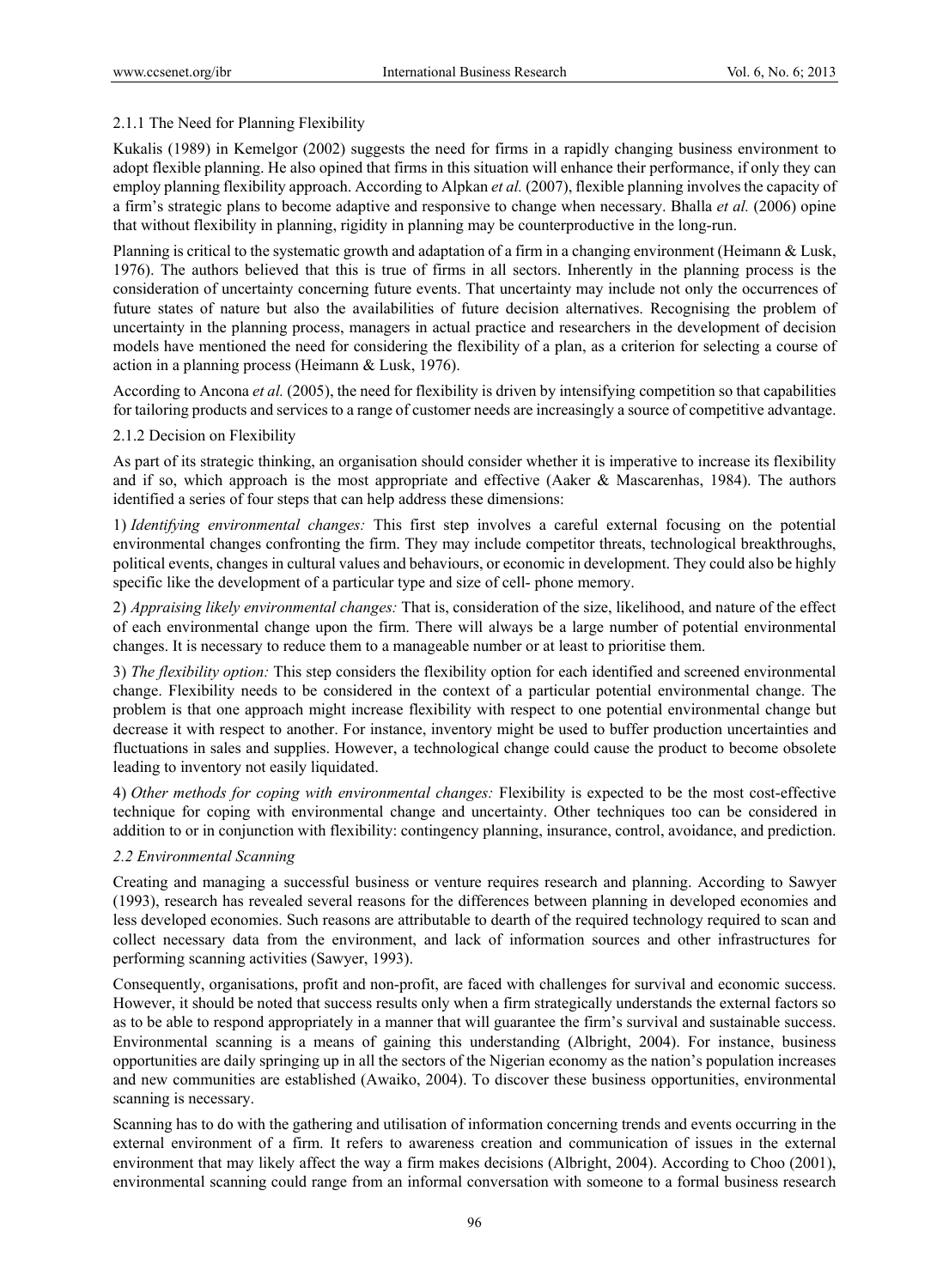### 2.1.1 The Need for Planning Flexibility

Kukalis (1989) in Kemelgor (2002) suggests the need for firms in a rapidly changing business environment to adopt flexible planning. He also opined that firms in this situation will enhance their performance, if only they can employ planning flexibility approach. According to Alpkan *et al.* (2007), flexible planning involves the capacity of a firm's strategic plans to become adaptive and responsive to change when necessary. Bhalla *et al.* (2006) opine that without flexibility in planning, rigidity in planning may be counterproductive in the long-run.

Planning is critical to the systematic growth and adaptation of a firm in a changing environment (Heimann & Lusk, 1976). The authors believed that this is true of firms in all sectors. Inherently in the planning process is the consideration of uncertainty concerning future events. That uncertainty may include not only the occurrences of future states of nature but also the availabilities of future decision alternatives. Recognising the problem of uncertainty in the planning process, managers in actual practice and researchers in the development of decision models have mentioned the need for considering the flexibility of a plan, as a criterion for selecting a course of action in a planning process (Heimann & Lusk, 1976).

According to Ancona *et al.* (2005), the need for flexibility is driven by intensifying competition so that capabilities for tailoring products and services to a range of customer needs are increasingly a source of competitive advantage.

#### 2.1.2 Decision on Flexibility

As part of its strategic thinking, an organisation should consider whether it is imperative to increase its flexibility and if so, which approach is the most appropriate and effective (Aaker & Mascarenhas, 1984). The authors identified a series of four steps that can help address these dimensions:

1) *Identifying environmental changes:* This first step involves a careful external focusing on the potential environmental changes confronting the firm. They may include competitor threats, technological breakthroughs, political events, changes in cultural values and behaviours, or economic in development. They could also be highly specific like the development of a particular type and size of cell- phone memory.

2) *Appraising likely environmental changes:* That is, consideration of the size, likelihood, and nature of the effect of each environmental change upon the firm. There will always be a large number of potential environmental changes. It is necessary to reduce them to a manageable number or at least to prioritise them.

3) *The flexibility option:* This step considers the flexibility option for each identified and screened environmental change. Flexibility needs to be considered in the context of a particular potential environmental change. The problem is that one approach might increase flexibility with respect to one potential environmental change but decrease it with respect to another. For instance, inventory might be used to buffer production uncertainties and fluctuations in sales and supplies. However, a technological change could cause the product to become obsolete leading to inventory not easily liquidated.

4) *Other methods for coping with environmental changes:* Flexibility is expected to be the most cost-effective technique for coping with environmental change and uncertainty. Other techniques too can be considered in addition to or in conjunction with flexibility: contingency planning, insurance, control, avoidance, and prediction.

#### *2.2 Environmental Scanning*

Creating and managing a successful business or venture requires research and planning. According to Sawyer (1993), research has revealed several reasons for the differences between planning in developed economies and less developed economies. Such reasons are attributable to dearth of the required technology required to scan and collect necessary data from the environment, and lack of information sources and other infrastructures for performing scanning activities (Sawyer, 1993).

Consequently, organisations, profit and non-profit, are faced with challenges for survival and economic success. However, it should be noted that success results only when a firm strategically understands the external factors so as to be able to respond appropriately in a manner that will guarantee the firm's survival and sustainable success. Environmental scanning is a means of gaining this understanding (Albright, 2004). For instance, business opportunities are daily springing up in all the sectors of the Nigerian economy as the nation's population increases and new communities are established (Awaiko, 2004). To discover these business opportunities, environmental scanning is necessary.

Scanning has to do with the gathering and utilisation of information concerning trends and events occurring in the external environment of a firm. It refers to awareness creation and communication of issues in the external environment that may likely affect the way a firm makes decisions (Albright, 2004). According to Choo (2001), environmental scanning could range from an informal conversation with someone to a formal business research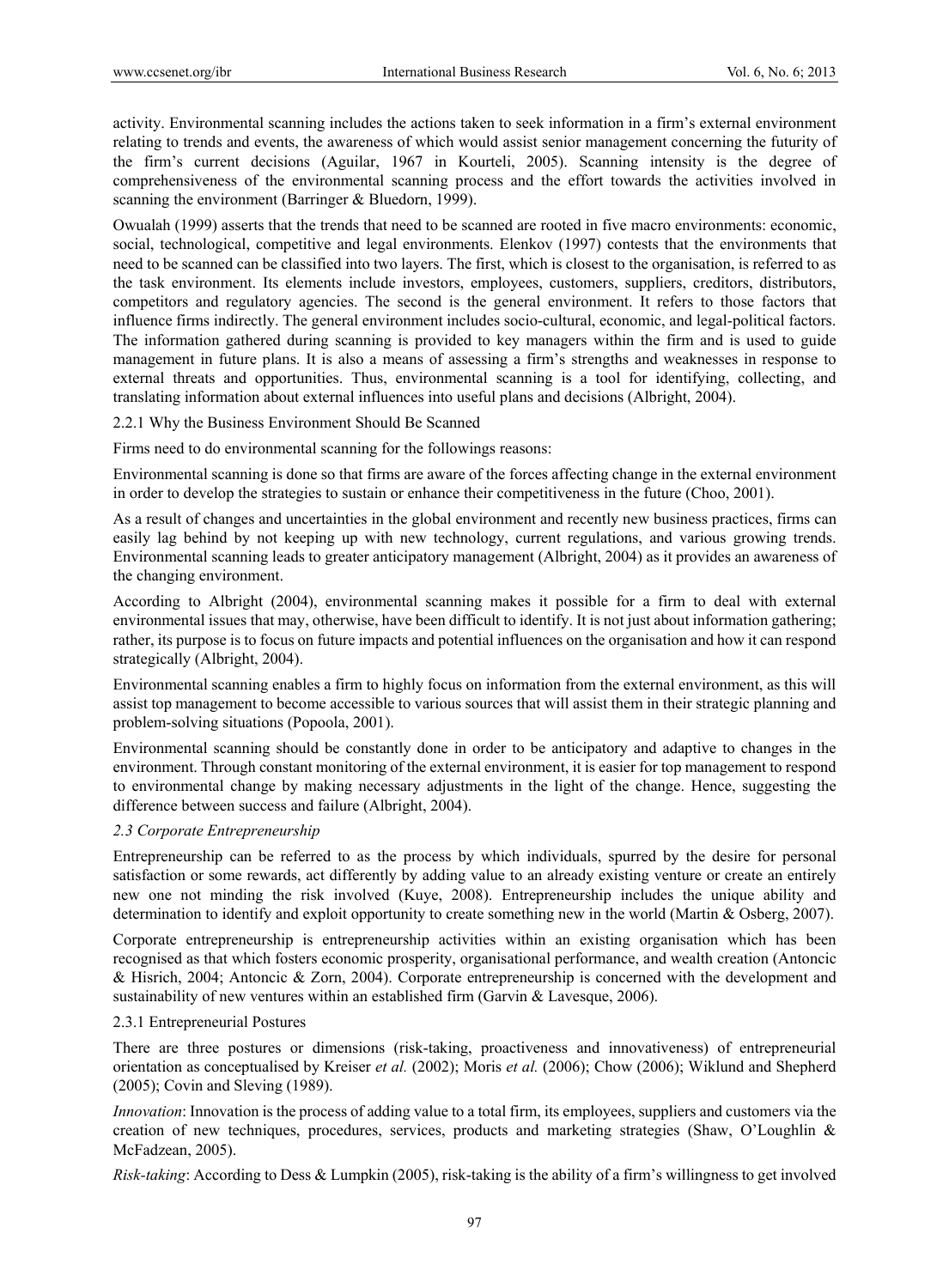activity. Environmental scanning includes the actions taken to seek information in a firm's external environment relating to trends and events, the awareness of which would assist senior management concerning the futurity of the firm's current decisions (Aguilar, 1967 in Kourteli, 2005). Scanning intensity is the degree of comprehensiveness of the environmental scanning process and the effort towards the activities involved in scanning the environment (Barringer & Bluedorn, 1999).

Owualah (1999) asserts that the trends that need to be scanned are rooted in five macro environments: economic, social, technological, competitive and legal environments. Elenkov (1997) contests that the environments that need to be scanned can be classified into two layers. The first, which is closest to the organisation, is referred to as the task environment. Its elements include investors, employees, customers, suppliers, creditors, distributors, competitors and regulatory agencies. The second is the general environment. It refers to those factors that influence firms indirectly. The general environment includes socio-cultural, economic, and legal-political factors. The information gathered during scanning is provided to key managers within the firm and is used to guide management in future plans. It is also a means of assessing a firm's strengths and weaknesses in response to external threats and opportunities. Thus, environmental scanning is a tool for identifying, collecting, and translating information about external influences into useful plans and decisions (Albright, 2004).

2.2.1 Why the Business Environment Should Be Scanned

Firms need to do environmental scanning for the followings reasons:

Environmental scanning is done so that firms are aware of the forces affecting change in the external environment in order to develop the strategies to sustain or enhance their competitiveness in the future (Choo, 2001).

As a result of changes and uncertainties in the global environment and recently new business practices, firms can easily lag behind by not keeping up with new technology, current regulations, and various growing trends. Environmental scanning leads to greater anticipatory management (Albright, 2004) as it provides an awareness of the changing environment.

According to Albright (2004), environmental scanning makes it possible for a firm to deal with external environmental issues that may, otherwise, have been difficult to identify. It is not just about information gathering; rather, its purpose is to focus on future impacts and potential influences on the organisation and how it can respond strategically (Albright, 2004).

Environmental scanning enables a firm to highly focus on information from the external environment, as this will assist top management to become accessible to various sources that will assist them in their strategic planning and problem-solving situations (Popoola, 2001).

Environmental scanning should be constantly done in order to be anticipatory and adaptive to changes in the environment. Through constant monitoring of the external environment, it is easier for top management to respond to environmental change by making necessary adjustments in the light of the change. Hence, suggesting the difference between success and failure (Albright, 2004).

#### *2.3 Corporate Entrepreneurship*

Entrepreneurship can be referred to as the process by which individuals, spurred by the desire for personal satisfaction or some rewards, act differently by adding value to an already existing venture or create an entirely new one not minding the risk involved (Kuye, 2008). Entrepreneurship includes the unique ability and determination to identify and exploit opportunity to create something new in the world (Martin & Osberg, 2007).

Corporate entrepreneurship is entrepreneurship activities within an existing organisation which has been recognised as that which fosters economic prosperity, organisational performance, and wealth creation (Antoncic & Hisrich, 2004; Antoncic & Zorn, 2004). Corporate entrepreneurship is concerned with the development and sustainability of new ventures within an established firm (Garvin & Lavesque, 2006).

#### 2.3.1 Entrepreneurial Postures

There are three postures or dimensions (risk-taking, proactiveness and innovativeness) of entrepreneurial orientation as conceptualised by Kreiser *et al.* (2002); Moris *et al.* (2006); Chow (2006); Wiklund and Shepherd (2005); Covin and Sleving (1989).

*Innovation*: Innovation is the process of adding value to a total firm, its employees, suppliers and customers via the creation of new techniques, procedures, services, products and marketing strategies (Shaw, O'Loughlin & McFadzean, 2005).

*Risk-taking*: According to Dess & Lumpkin (2005), risk-taking is the ability of a firm's willingness to get involved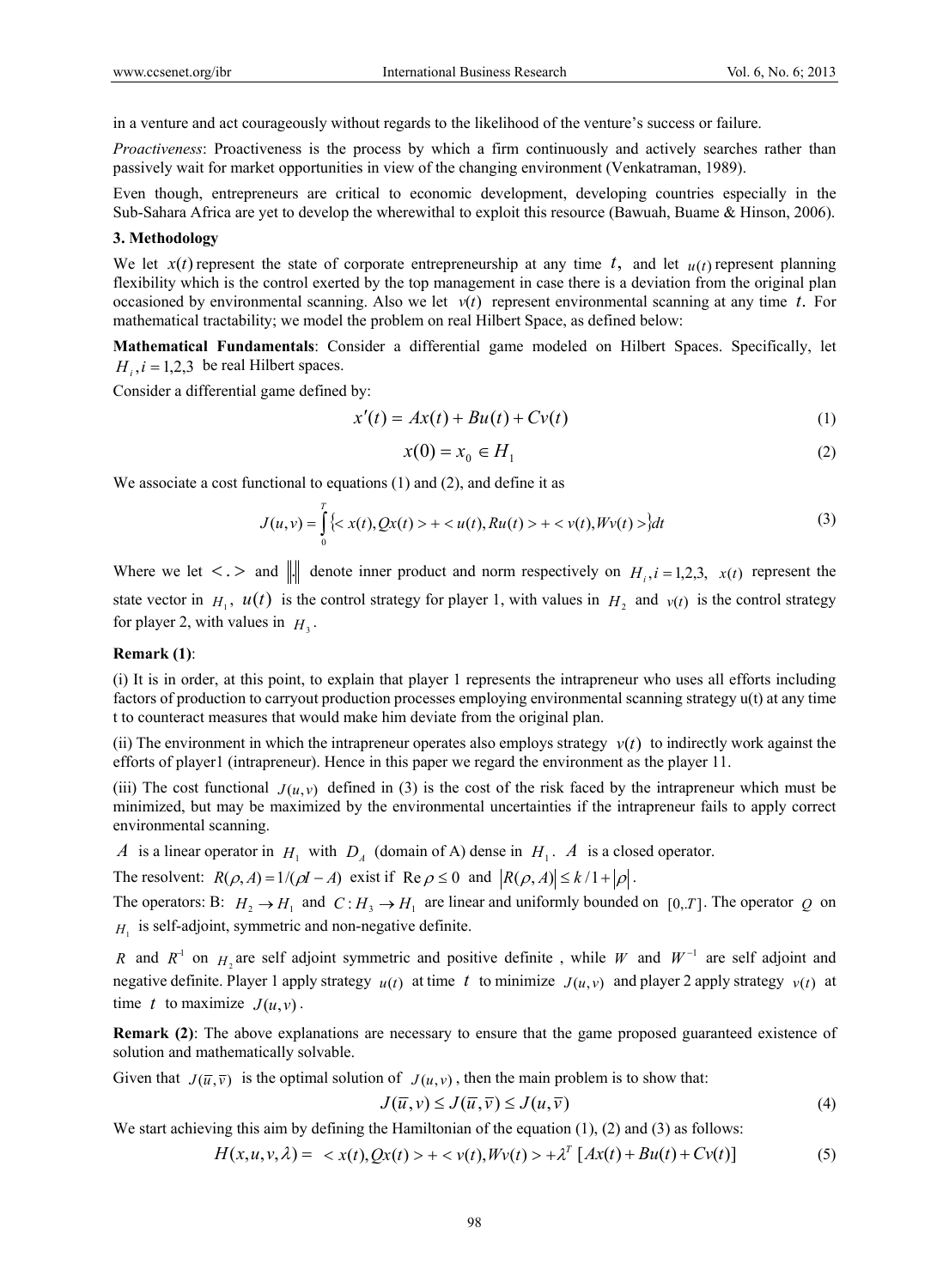in a venture and act courageously without regards to the likelihood of the venture's success or failure.

*Proactiveness*: Proactiveness is the process by which a firm continuously and actively searches rather than passively wait for market opportunities in view of the changing environment (Venkatraman, 1989).

Even though, entrepreneurs are critical to economic development, developing countries especially in the Sub-Sahara Africa are yet to develop the wherewithal to exploit this resource (Bawuah, Buame & Hinson, 2006).

#### **3. Methodology**

We let  $x(t)$  represent the state of corporate entrepreneurship at any time t, and let  $u(t)$  represent planning flexibility which is the control exerted by the top management in case there is a deviation from the original plan occasioned by environmental scanning. Also we let  $v(t)$  represent environmental scanning at any time *t*. For mathematical tractability; we model the problem on real Hilbert Space, as defined below:

**Mathematical Fundamentals**: Consider a differential game modeled on Hilbert Spaces. Specifically, let  $H_i$ ,  $i = 1,2,3$  be real Hilbert spaces.

Consider a differential game defined by:

$$
x'(t) = Ax(t) + Bu(t) + Cv(t)
$$
\n<sup>(1)</sup>

$$
x(0) = x_0 \in H_1 \tag{2}
$$

We associate a cost functional to equations (1) and (2), and define it as

$$
J(u, v) = \int_{0}^{T} \{ \langle x(t), Qx(t) \rangle + \langle u(t), Ru(t) \rangle + \langle v(t), Wv(t) \rangle \} dt
$$
 (3)

Where we let  $\langle \cdot, \cdot \rangle$  and  $\| \cdot \|$  denote inner product and norm respectively on  $H_i$ ,  $i = 1,2,3$ ,  $x(t)$  represent the state vector in  $H_1$ ,  $u(t)$  is the control strategy for player 1, with values in  $H_2$  and  $v(t)$  is the control strategy for player 2, with values in  $H_3$ .

#### **Remark (1)**:

(i) It is in order, at this point, to explain that player 1 represents the intrapreneur who uses all efforts including factors of production to carryout production processes employing environmental scanning strategy u(t) at any time t to counteract measures that would make him deviate from the original plan.

(ii) The environment in which the intrapreneur operates also employs strategy  $v(t)$  to indirectly work against the efforts of player1 (intrapreneur). Hence in this paper we regard the environment as the player 11.

(iii) The cost functional  $J(u, v)$  defined in (3) is the cost of the risk faced by the intrapreneur which must be minimized, but may be maximized by the environmental uncertainties if the intrapreneur fails to apply correct environmental scanning.

*A* is a linear operator in  $H_1$  with  $D_4$  (domain of A) dense in  $H_1$ . *A* is a closed operator.

The resolvent:  $R(\rho, A) = 1/(\rho I - A)$  exist if  $\text{Re}\,\rho \le 0$  and  $|R(\rho, A)| \le k/1 + |\rho|$ .

The operators: B:  $H_2 \to H_1$  and  $C: H_3 \to H_1$  are linear and uniformly bounded on [0,*T*]. The operator *Q* on  $H<sub>1</sub>$  is self-adjoint, symmetric and non-negative definite.

*R* and  $R^{-1}$  on  $H$ <sub>2</sub> are self adjoint symmetric and positive definite, while *W* and  $W^{-1}$  are self adjoint and negative definite. Player 1 apply strategy  $u(t)$  at time t to minimize  $J(u, v)$  and player 2 apply strategy  $v(t)$  at time *t* to maximize  $J(u, v)$ .

**Remark (2)**: The above explanations are necessary to ensure that the game proposed guaranteed existence of solution and mathematically solvable.

Given that  $J(\bar{u}, \bar{v})$  is the optimal solution of  $J(u, v)$ , then the main problem is to show that:

$$
J(\overline{u}, v) \le J(\overline{u}, \overline{v}) \le J(u, \overline{v})
$$
\n<sup>(4)</sup>

We start achieving this aim by defining the Hamiltonian of the equation  $(1)$ ,  $(2)$  and  $(3)$  as follows:

$$
H(x, u, v, \lambda) = \langle x(t), Qx(t) \rangle + \langle v(t), Wv(t) \rangle + \lambda^T [Ax(t) + Bu(t) + Cv(t)] \tag{5}
$$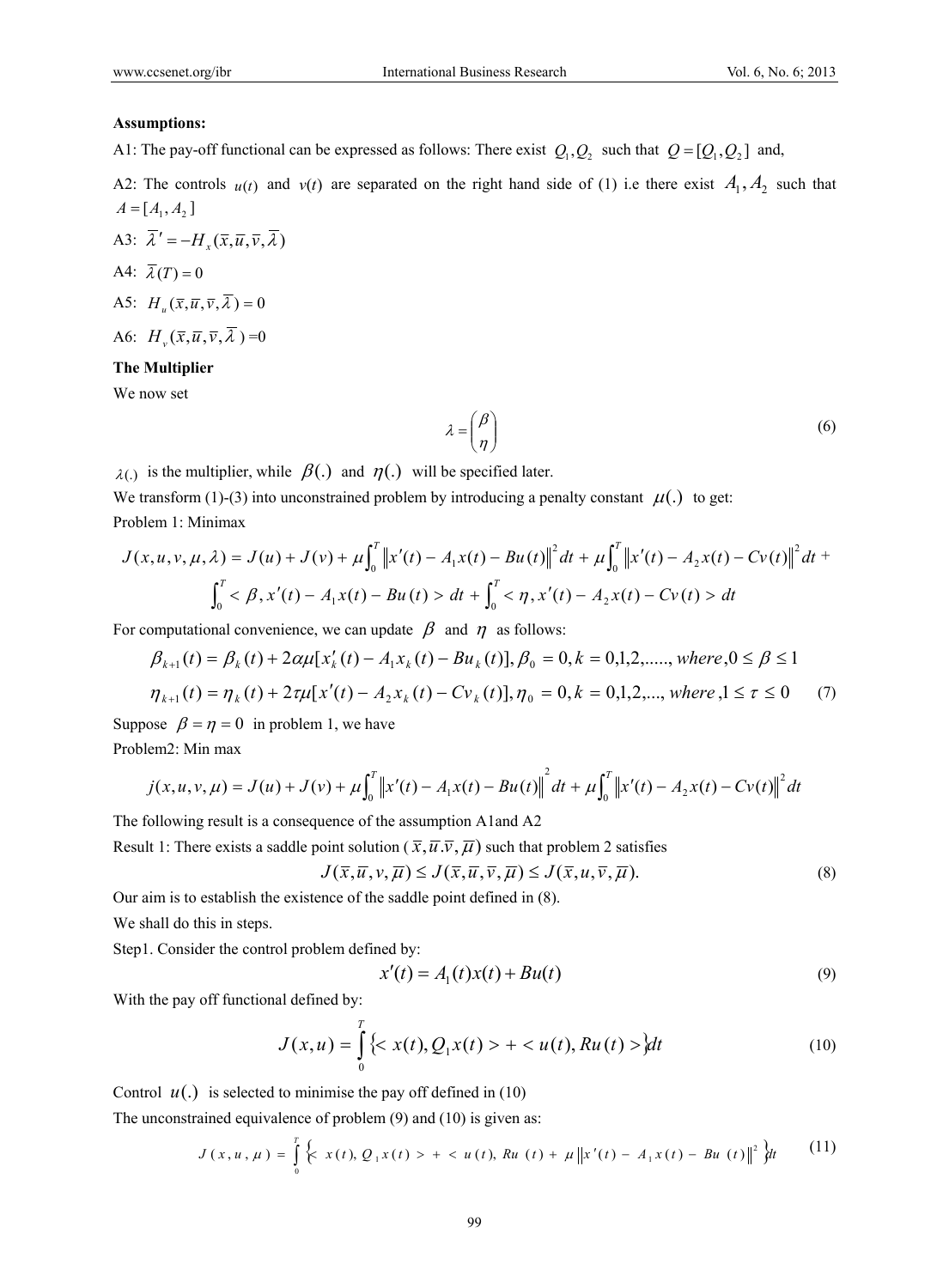#### **Assumptions:**

A1: The pay-off functional can be expressed as follows: There exist  $Q_1, Q_2$  such that  $Q = [Q_1, Q_2]$  and,

A2: The controls  $u(t)$  and  $v(t)$  are separated on the right hand side of (1) i.e there exist  $A_1, A_2$  such that  $A = [A_1, A_2]$ 

A3:  $\overline{\lambda}' = -H_x(\overline{x}, \overline{u}, \overline{v}, \overline{\lambda})$ A4:  $\overline{\lambda}(T) = 0$ A5:  $H_u(\overline{x}, \overline{u}, \overline{v}, \overline{\lambda}) = 0$ A6:  $H_v(\overline{x}, \overline{u}, \overline{v}, \overline{\lambda}) = 0$ 

# **The Multiplier**

We now set

$$
\lambda = \begin{pmatrix} \beta \\ \eta \end{pmatrix} \tag{6}
$$

 $\lambda$ (.) is the multiplier, while  $\beta$ (.) and  $\eta$ (.) will be specified later.

We transform (1)-(3) into unconstrained problem by introducing a penalty constant  $\mu(.)$  to get: Problem 1: Minimax

$$
J(x, u, v, \mu, \lambda) = J(u) + J(v) + \mu \int_0^T \|x'(t) - A_1 x(t) - Bu(t)\|^2 dt + \mu \int_0^T \|x'(t) - A_2 x(t) - C v(t)\|^2 dt + \int_0^T \langle B, x'(t) - A_1 x(t) - Bu(t) \rangle dt + \int_0^T \langle B, x'(t) - A_2 x(t) - C v(t) \rangle dt
$$

For computational convenience, we can update  $\beta$  and  $\eta$  as follows:

$$
\beta_{k+1}(t) = \beta_k(t) + 2\alpha\mu[x'_k(t) - A_1x_k(t) - Bu_k(t)], \beta_0 = 0, k = 0, 1, 2, \dots, \text{ where } 0 \le \beta \le 1
$$
\n
$$
\eta_{k+1}(t) = \eta_k(t) + 2\tau\mu[x'(t) - A_2x_k(t) - Cv_k(t)], \eta_0 = 0, k = 0, 1, 2, \dots, \text{ where } 0 \le \tau \le 0 \tag{7}
$$

Suppose  $\beta = \eta = 0$  in problem 1, we have Problem2: Min max

$$
j(x, u, v, \mu) = J(u) + J(v) + \mu \int_0^T \|x'(t) - A_1 x(t) - Bu(t)\|^2 dt + \mu \int_0^T \|x'(t) - A_2 x(t) - C v(t)\|^2 dt
$$

The following result is a consequence of the assumption A1and A2

Result 1: There exists a saddle point solution ( $\overline{x}, \overline{u}, \overline{v}, \overline{\mu}$ ) such that problem 2 satisfies

$$
J(\overline{x}, \overline{u}, v, \overline{\mu}) \le J(\overline{x}, \overline{u}, \overline{v}, \overline{\mu}) \le J(\overline{x}, u, \overline{v}, \overline{\mu}).
$$
\n(8)

Our aim is to establish the existence of the saddle point defined in (8).

We shall do this in steps.

Step1. Consider the control problem defined by:

$$
x'(t) = A_1(t)x(t) + Bu(t)
$$
\n(9)

With the pay off functional defined by:

$$
J(x, u) = \int_{0}^{T} \{ \langle x(t), Q_1 x(t) \rangle + \langle u(t), Ru(t) \rangle \} dt
$$
 (10)

Control  $u(.)$  is selected to minimise the pay off defined in  $(10)$ 

The unconstrained equivalence of problem (9) and (10) is given as:

$$
J(x, u, \mu) = \int_{0}^{T} \left\{ x(t), Q_1 x(t) > +  (11)
$$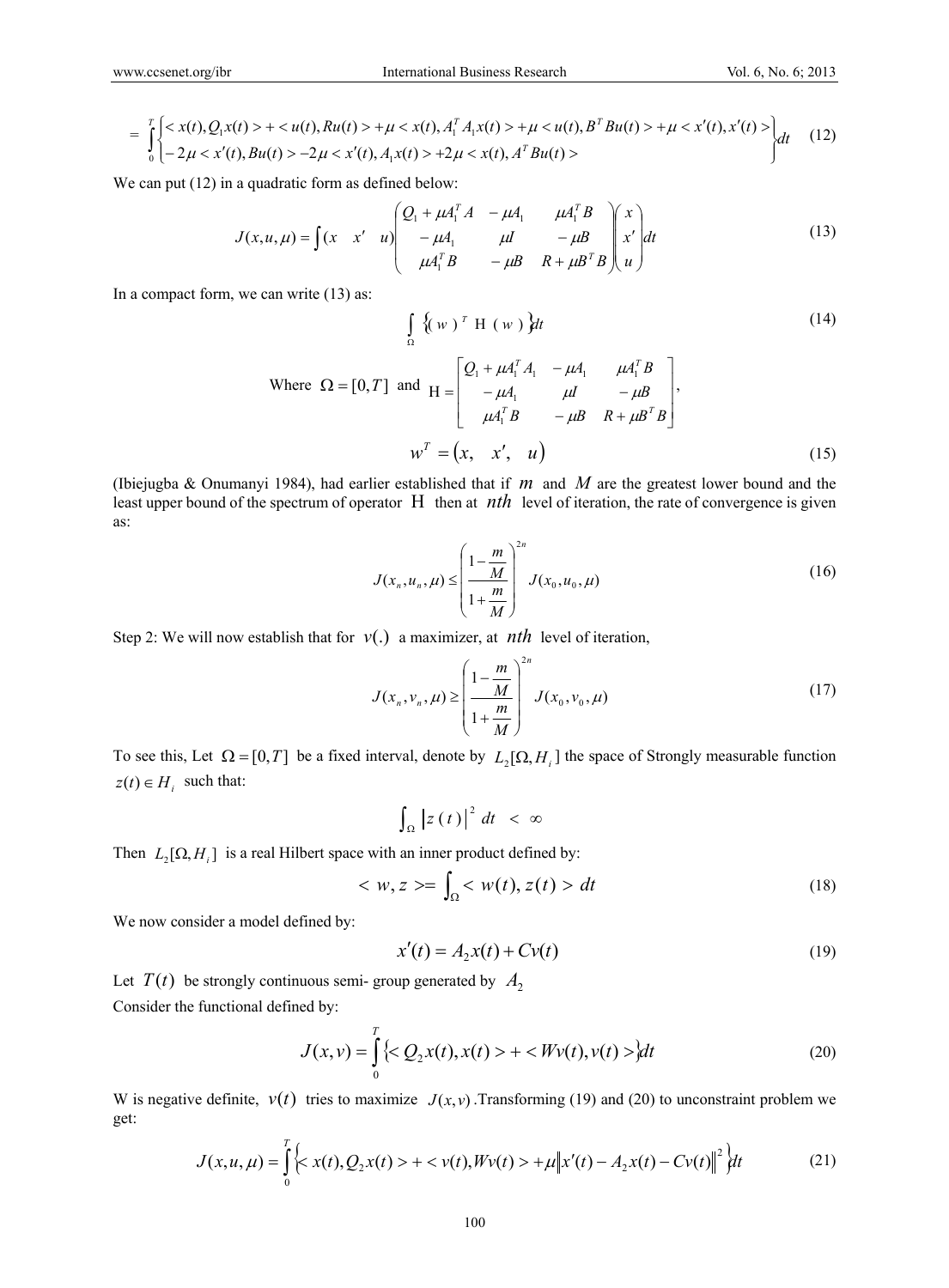$$
= \int_{0}^{T} \begin{cases} \langle x(t), Q_1 x(t) \rangle + \langle u(t), Ru(t) \rangle + \mu \langle x(t), A_1^T A_1 x(t) \rangle + \mu \langle u(t), B^T Bu(t) \rangle + \mu \langle x'(t), x'(t) \rangle \\ -2\mu \langle x'(t), Bu(t) \rangle - 2\mu \langle x'(t), A_1 x(t) \rangle + 2\mu \langle x(t), A^T Bu(t) \rangle \end{cases} (12)
$$

We can put  $(12)$  in a quadratic form as defined below:

$$
J(x, u, \mu) = \int (x \ x' \ u) \begin{pmatrix} Q_1 + \mu A_1^T A & -\mu A_1 & \mu A_1^T B \\ -\mu A_1 & \mu I & -\mu B \\ \mu A_1^T B & -\mu B & R + \mu B^T B \end{pmatrix} \begin{pmatrix} x \\ x' \\ u \end{pmatrix} dt
$$
 (13)

In a compact form, we can write (13) as:

$$
\int_{\Omega} \left\{ (w)^{T} H (w) \right\} dt
$$
\nWhere  $\Omega = [0, T]$  and  $H = \begin{bmatrix} Q_{1} + \mu A_{1}^{T} A_{1} & -\mu A_{1} & \mu A_{1}^{T} B \\ -\mu A_{1} & \mu I & -\mu B \\ \mu A_{1}^{T} B & -\mu B & R + \mu B^{T} B \end{bmatrix}$ ,

\n
$$
w^{T} = (x, x', u)
$$
\n(15)

(Ibiejugba & Onumanyi 1984), had earlier established that if *m* and *M* are the greatest lower bound and the least upper bound of the spectrum of operator  $H$  then at  $nth$  level of iteration, the rate of convergence is given as:

$$
J(x_n, u_n, \mu) \le \left(\frac{1 - \frac{m}{M}}{1 + \frac{m}{M}}\right)^{2n} J(x_0, u_0, \mu)
$$
 (16)

Step 2: We will now establish that for  $v(.)$  a maximizer, at *nth* level of iteration,

$$
J(x_n, v_n, \mu) \ge \left(\frac{1 - \frac{m}{M}}{1 + \frac{m}{M}}\right)^{2n} J(x_0, v_0, \mu)
$$
 (17)

To see this, Let  $\Omega = [0, T]$  be a fixed interval, denote by  $L_2[\Omega, H_i]$  the space of Strongly measurable function  $z(t) \in H_i$  such that:

$$
\int_{\Omega} \left| z(t) \right|^2 dt < \infty
$$

Then  $L_2[\Omega, H_i]$  is a real Hilbert space with an inner product defined by:

$$
\langle w, z \rangle = \int_{\Omega} \langle w(t), z(t) \rangle dt \tag{18}
$$

We now consider a model defined by:

$$
x'(t) = A_2 x(t) + Cv(t)
$$
 (19)

Let  $T(t)$  be strongly continuous semi- group generated by  $A_2$ Consider the functional defined by:

$$
J(x,v) = \int_{0}^{T} \left\{  +  \right\} dt
$$
 (20)

W is negative definite,  $v(t)$  tries to maximize  $J(x, y)$ . Transforming (19) and (20) to unconstraint problem we get:

$$
J(x, u, \mu) = \int_{0}^{T} \left\{ x(t), Q_2 x(t) > + \langle v(t), Wv(t) \rangle + \mu \|x'(t) - A_2 x(t) - C v(t)\|^2 \right\} dt \tag{21}
$$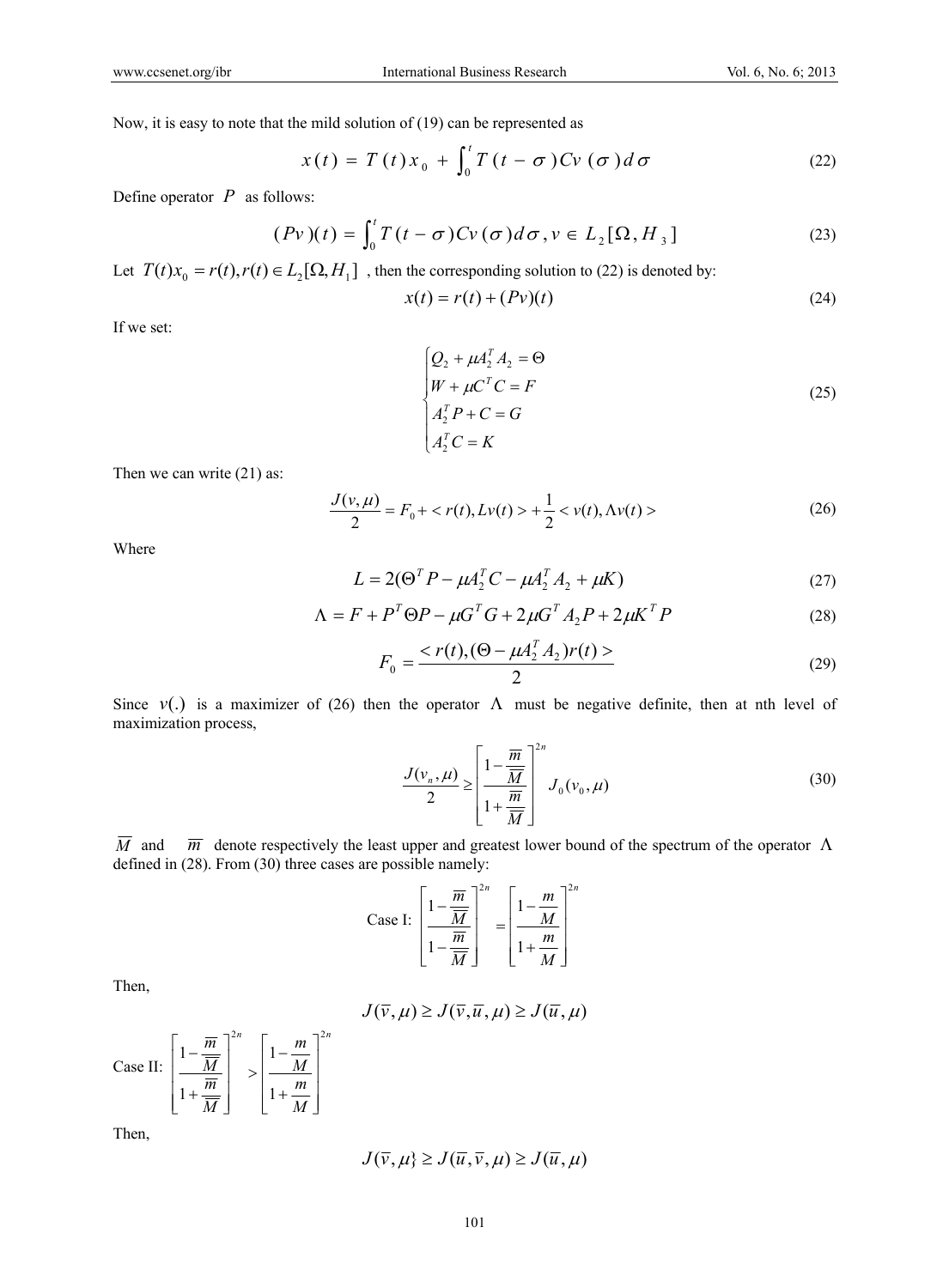Now, it is easy to note that the mild solution of (19) can be represented as

$$
x(t) = T(t)x_0 + \int_0^t T(t - \sigma) C v(\sigma) d\sigma
$$
 (22)

Define operator *P* as follows:

$$
(Pv)(t) = \int_0^t T(t - \sigma) C v(\sigma) d\sigma, v \in L_2[\Omega, H_3]
$$
 (23)

Let  $T(t)x_0 = r(t)$ ,  $r(t) \in L_2[\Omega, H_1]$ , then the corresponding solution to (22) is denoted by:

$$
x(t) = r(t) + (Pv)(t)
$$
\n
$$
(24)
$$

If we set:

$$
\begin{cases}\nQ_2 + \mu A_2^T A_2 = \Theta \\
W + \mu C^T C = F \\
A_2^T P + C = G \\
A_2^T C = K\n\end{cases}
$$
\n(25)

Then we can write (21) as:

$$
\frac{J(v,\mu)}{2} = F_0 + \langle r(t), Lv(t) \rangle + \frac{1}{2} \langle v(t), Av(t) \rangle \tag{26}
$$

Where

$$
L = 2(\Theta^T P - \mu A_2^T C - \mu A_2^T A_2 + \mu K)
$$
 (27)

$$
\Lambda = F + P^T \Theta P - \mu G^T G + 2\mu G^T A_2 P + 2\mu K^T P \tag{28}
$$

$$
F_0 = \frac{}{2}
$$
 (29)

Since  $v(.)$  is a maximizer of (26) then the operator  $\Lambda$  must be negative definite, then at nth level of maximization process,

$$
\frac{J(\nu_n, \mu)}{2} \ge \left[\frac{1 - \frac{\overline{m}}{\overline{M}}}{1 + \frac{\overline{m}}{\overline{M}}}\right]^{2n} J_0(\nu_0, \mu) \tag{30}
$$

 $\overline{M}$  and  $\overline{m}$  denote respectively the least upper and greatest lower bound of the spectrum of the operator  $\Lambda$ defined in (28). From (30) three cases are possible namely:

Case I: 
$$
\left[\frac{1 - \frac{\overline{m}}{\overline{M}}}{1 - \frac{\overline{m}}{\overline{M}}}\right]^{2n} = \left[\frac{1 - \frac{m}{M}}{1 + \frac{m}{M}}\right]^{2n}
$$

Then,

$$
J(\overline{v}, \mu) \ge J(\overline{v}, \overline{u}, \mu) \ge J(\overline{u}, \mu)
$$

Case II: 
$$
\left[\frac{1-\frac{\overline{m}}{\overline{M}}}{1+\frac{\overline{m}}{\overline{M}}}\right]^{2n} > \left[\frac{1-\frac{m}{M}}{1+\frac{m}{M}}\right]^{2n}
$$

Then,

$$
J(\overline{v}, \mu) \ge J(\overline{u}, \overline{v}, \mu) \ge J(\overline{u}, \mu)
$$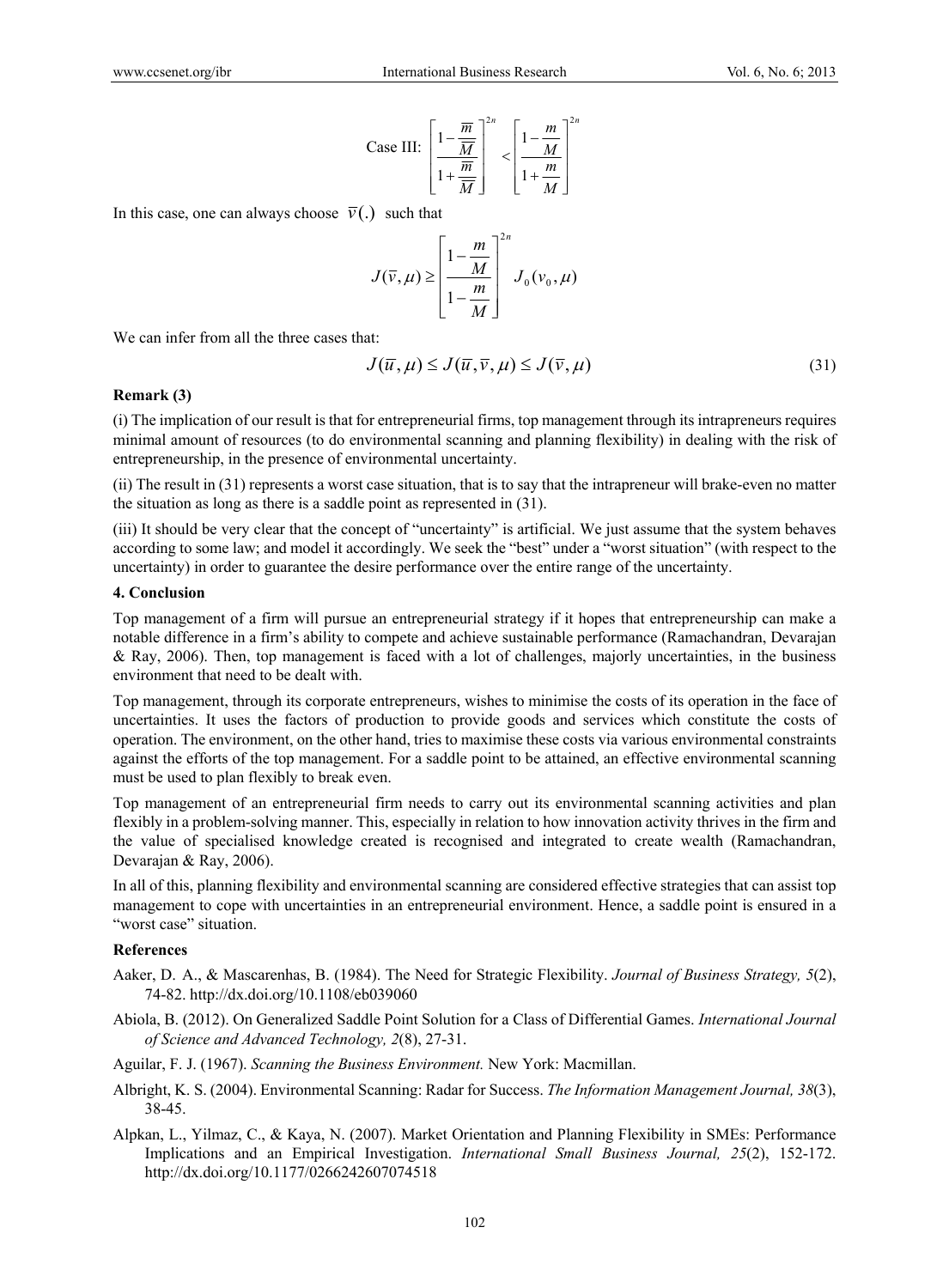Case III: 
$$
\left[\frac{1-\frac{\overline{m}}{\overline{M}}}{1+\frac{\overline{m}}{\overline{M}}}\right]^{2n} < \left[\frac{1-\frac{m}{M}}{1+\frac{m}{M}}\right]^{2n}
$$

In this case, one can always choose  $\bar{v}$ . such that

$$
J(\overline{v}, \mu) \ge \left[\frac{1 - \frac{m}{M}}{1 - \frac{m}{M}}\right]^{2n} J_0(v_0, \mu)
$$

We can infer from all the three cases that:

$$
J(\overline{u}, \mu) \le J(\overline{u}, \overline{v}, \mu) \le J(\overline{v}, \mu)
$$
\n(31)

#### **Remark (3)**

(i) The implication of our result is that for entrepreneurial firms, top management through its intrapreneurs requires minimal amount of resources (to do environmental scanning and planning flexibility) in dealing with the risk of entrepreneurship, in the presence of environmental uncertainty.

(ii) The result in (31) represents a worst case situation, that is to say that the intrapreneur will brake-even no matter the situation as long as there is a saddle point as represented in (31).

(iii) It should be very clear that the concept of "uncertainty" is artificial. We just assume that the system behaves according to some law; and model it accordingly. We seek the "best" under a "worst situation" (with respect to the uncertainty) in order to guarantee the desire performance over the entire range of the uncertainty.

#### **4. Conclusion**

Top management of a firm will pursue an entrepreneurial strategy if it hopes that entrepreneurship can make a notable difference in a firm's ability to compete and achieve sustainable performance (Ramachandran, Devarajan & Ray, 2006). Then, top management is faced with a lot of challenges, majorly uncertainties, in the business environment that need to be dealt with.

Top management, through its corporate entrepreneurs, wishes to minimise the costs of its operation in the face of uncertainties. It uses the factors of production to provide goods and services which constitute the costs of operation. The environment, on the other hand, tries to maximise these costs via various environmental constraints against the efforts of the top management. For a saddle point to be attained, an effective environmental scanning must be used to plan flexibly to break even.

Top management of an entrepreneurial firm needs to carry out its environmental scanning activities and plan flexibly in a problem-solving manner. This, especially in relation to how innovation activity thrives in the firm and the value of specialised knowledge created is recognised and integrated to create wealth (Ramachandran, Devarajan & Ray, 2006).

In all of this, planning flexibility and environmental scanning are considered effective strategies that can assist top management to cope with uncertainties in an entrepreneurial environment. Hence, a saddle point is ensured in a "worst case" situation.

#### **References**

- Aaker, D. A., & Mascarenhas, B. (1984). The Need for Strategic Flexibility. *Journal of Business Strategy, 5*(2), 74-82. http://dx.doi.org/10.1108/eb039060
- Abiola, B. (2012). On Generalized Saddle Point Solution for a Class of Differential Games. *International Journal of Science and Advanced Technology, 2*(8), 27-31.
- Aguilar, F. J. (1967). *Scanning the Business Environment.* New York: Macmillan.
- Albright, K. S. (2004). Environmental Scanning: Radar for Success. *The Information Management Journal, 38*(3), 38-45.
- Alpkan, L., Yilmaz, C., & Kaya, N. (2007). Market Orientation and Planning Flexibility in SMEs: Performance Implications and an Empirical Investigation. *International Small Business Journal, 25*(2), 152-172. http://dx.doi.org/10.1177/0266242607074518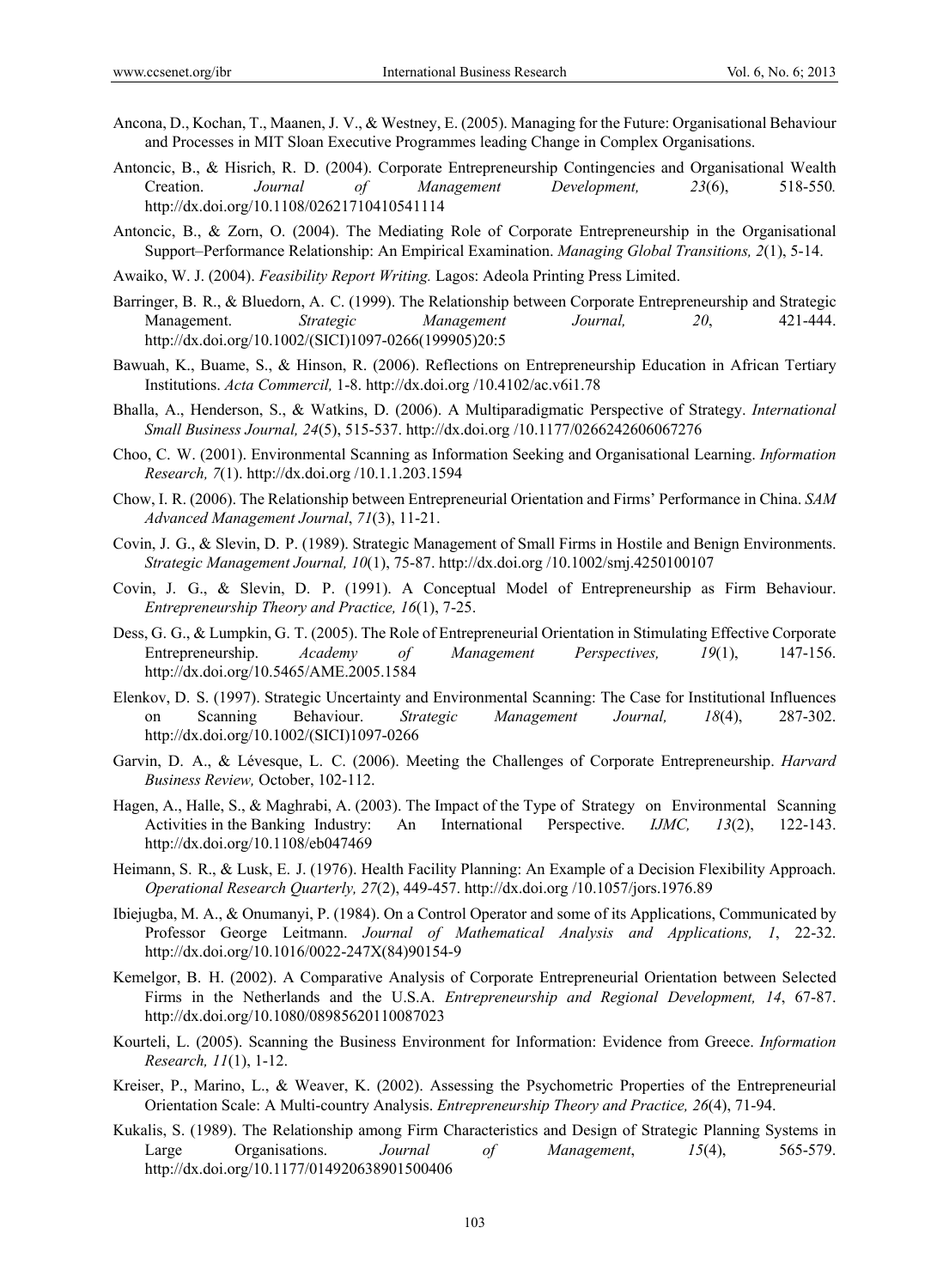- Ancona, D., Kochan, T., Maanen, J. V., & Westney, E. (2005). Managing for the Future: Organisational Behaviour and Processes in MIT Sloan Executive Programmes leading Change in Complex Organisations.
- Antoncic, B., & Hisrich, R. D. (2004). Corporate Entrepreneurship Contingencies and Organisational Wealth Creation. *Journal of Management Development, 23*(6), 518-550*.* http://dx.doi.org/10.1108/02621710410541114
- Antoncic, B., & Zorn, O. (2004). The Mediating Role of Corporate Entrepreneurship in the Organisational Support–Performance Relationship: An Empirical Examination. *Managing Global Transitions, 2*(1), 5-14.
- Awaiko, W. J. (2004). *Feasibility Report Writing.* Lagos: Adeola Printing Press Limited.
- Barringer, B. R., & Bluedorn, A. C. (1999). The Relationship between Corporate Entrepreneurship and Strategic Management. *Strategic Management Journal, 20*, 421-444. http://dx.doi.org/10.1002/(SICI)1097-0266(199905)20:5
- Bawuah, K., Buame, S., & Hinson, R. (2006). Reflections on Entrepreneurship Education in African Tertiary Institutions. *Acta Commercil,* 1-8. http://dx.doi.org /10.4102/ac.v6i1.78
- Bhalla, A., Henderson, S., & Watkins, D. (2006). A Multiparadigmatic Perspective of Strategy. *International Small Business Journal, 24*(5), 515-537. http://dx.doi.org /10.1177/0266242606067276
- Choo, C. W. (2001). Environmental Scanning as Information Seeking and Organisational Learning. *Information Research, 7*(1). http://dx.doi.org /10.1.1.203.1594
- Chow, I. R. (2006). The Relationship between Entrepreneurial Orientation and Firms' Performance in China. *SAM Advanced Management Journal*, *71*(3), 11-21.
- Covin, J. G., & Slevin, D. P. (1989). Strategic Management of Small Firms in Hostile and Benign Environments. *Strategic Management Journal, 10*(1), 75-87. http://dx.doi.org /10.1002/smj.4250100107
- Covin, J. G., & Slevin, D. P. (1991). A Conceptual Model of Entrepreneurship as Firm Behaviour. *Entrepreneurship Theory and Practice, 16*(1), 7-25.
- Dess, G. G., & Lumpkin, G. T. (2005). The Role of Entrepreneurial Orientation in Stimulating Effective Corporate Entrepreneurship. *Academy of Management Perspectives, 19*(1), 147-156. http://dx.doi.org/10.5465/AME.2005.1584
- Elenkov, D. S. (1997). Strategic Uncertainty and Environmental Scanning: The Case for Institutional Influences on Scanning Behaviour. *Strategic Management Journal, 18*(4), 287-302. http://dx.doi.org/10.1002/(SICI)1097-0266
- Garvin, D. A., & Lévesque, L. C. (2006). Meeting the Challenges of Corporate Entrepreneurship. *Harvard Business Review,* October, 102-112.
- Hagen, A., Halle, S., & Maghrabi, A. (2003). The Impact of the Type of Strategy on Environmental Scanning Activities in the Banking Industry: An International Perspective. *IJMC, 13*(2), 122-143. http://dx.doi.org/10.1108/eb047469
- Heimann, S. R., & Lusk, E. J. (1976). Health Facility Planning: An Example of a Decision Flexibility Approach. *Operational Research Quarterly, 27*(2), 449-457. http://dx.doi.org /10.1057/jors.1976.89
- Ibiejugba, M. A., & Onumanyi, P. (1984). On a Control Operator and some of its Applications, Communicated by Professor George Leitmann. *Journal of Mathematical Analysis and Applications, 1*, 22-32. http://dx.doi.org/10.1016/0022-247X(84)90154-9
- Kemelgor, B. H. (2002). A Comparative Analysis of Corporate Entrepreneurial Orientation between Selected Firms in the Netherlands and the U.S.A. *Entrepreneurship and Regional Development, 14*, 67-87. http://dx.doi.org/10.1080/08985620110087023
- Kourteli, L. (2005). Scanning the Business Environment for Information: Evidence from Greece. *Information Research, 11*(1), 1-12.
- Kreiser, P., Marino, L., & Weaver, K. (2002). Assessing the Psychometric Properties of the Entrepreneurial Orientation Scale: A Multi-country Analysis. *Entrepreneurship Theory and Practice, 26*(4), 71-94.
- Kukalis, S. (1989). The Relationship among Firm Characteristics and Design of Strategic Planning Systems in Large Organisations. *Journal of Management*, *15*(4), 565-579. http://dx.doi.org/10.1177/014920638901500406